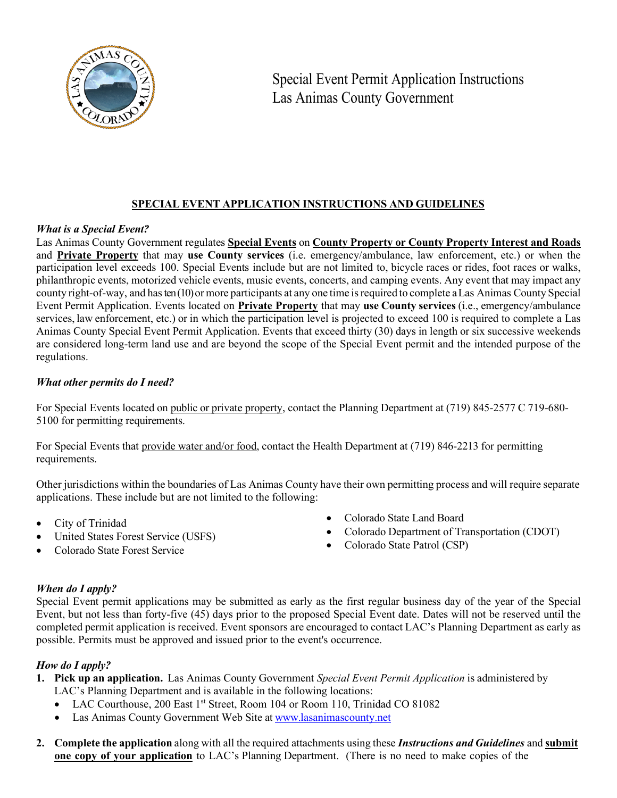

# **SPECIAL EVENT APPLICATION INSTRUCTIONS AND GUIDELINES**

# *What is a Special Event?*

Las Animas County Government regulates **Special Events** on **County Property or County Property Interest and Roads** and **Private Property** that may **use County services** (i.e. emergency/ambulance, law enforcement, etc.) or when the participation level exceeds 100. Special Events include but are not limited to, bicycle races or rides, foot races or walks, philanthropic events, motorized vehicle events, music events, concerts, and camping events. Any event that may impact any county right-of-way, and hasten (10)or more participants at any one time isrequired to complete a Las Animas County Special Event Permit Application. Events located on **Private Property** that may **use County services** (i.e., emergency/ambulance services, law enforcement, etc.) or in which the participation level is projected to exceed 100 is required to complete a Las Animas County Special Event Permit Application. Events that exceed thirty (30) days in length or six successive weekends are considered long-term land use and are beyond the scope of the Special Event permit and the intended purpose of the regulations.

# *What other permits do I need?*

For Special Events located on public or private property, contact the Planning Department at (719) 845-2577 C 719-680-5100 for permitting requirements.

For Special Events that provide water and/or food, contact the Health Department at (719) 846-2213 for permitting requirements.

Other jurisdictions within the boundaries of Las Animas County have their own permitting process and will require separate applications. These include but are not limited to the following:

- City of Trinidad
- United States Forest Service (USFS)
- Colorado State Land Board
- Colorado Department of Transportation (CDOT)
- Colorado State Patrol (CSP)

• Colorado State Forest Service

# *When do I apply?*

Special Event permit applications may be submitted as early as the first regular business day of the year of the Special Event, but not less than forty-five (45) days prior to the proposed Special Event date. Dates will not be reserved until the completed permit application is received. Event sponsors are encouraged to contact LAC's Planning Department as early as possible. Permits must be approved and issued prior to the event's occurrence.

# *How do I apply?*

- **1. Pick up an application.** Las Animas County Government *Special Event Permit Application* is administered by LAC's Planning Department and is available in the following locations:
	- LAC Courthouse, 200 East 1<sup>st</sup> Street, Room 104 or Room 110, Trinidad CO 81082
	- Las Animas County Government Web Site at [www.lasanimascounty.net](https://d.docs.live.net/06ff8ae05efb47bc/Documents/0%20special%20events/www.lasanimascounty.net)
- **2. Complete the application** along with all the required attachments using these *Instructions and Guidelines* and **submit one copy of your application** to LAC's Planning Department. (There is no need to make copies of the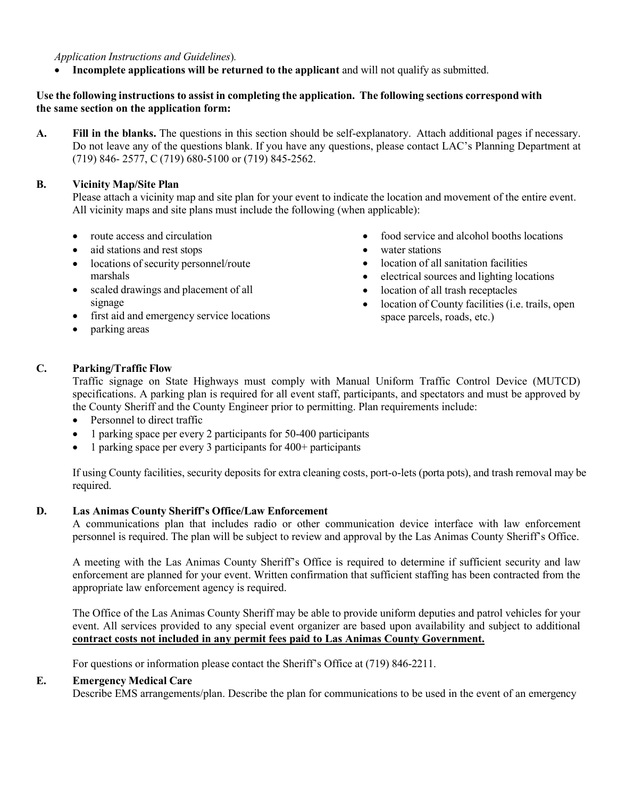*Application Instructions and Guidelines*)*.*

• **Incomplete applications will be returned to the applicant** and will not qualify as submitted.

# **Use the following instructions to assist in completing the application. The following sections correspond with the same section on the application form:**

**A. Fill in the blanks.** The questions in this section should be self-explanatory. Attach additional pages if necessary. Do not leave any of the questions blank. If you have any questions, please contact LAC's Planning Department at (719) 846- 2577, C (719) 680-5100 or (719) 845-2562.

#### **B. Vicinity Map/Site Plan**

Please attach a vicinity map and site plan for your event to indicate the location and movement of the entire event. All vicinity maps and site plans must include the following (when applicable):

- route access and circulation
- aid stations and rest stops
- locations of security personnel/route marshals
- scaled drawings and placement of all signage
- first aid and emergency service locations
- parking areas
- food service and alcohol booths locations
- water stations
- location of all sanitation facilities
- electrical sources and lighting locations
- location of all trash receptacles
- location of County facilities (*i.e.* trails, open space parcels, roads, etc.)

# **C. Parking/Traffic Flow**

Traffic signage on State Highways must comply with Manual Uniform Traffic Control Device (MUTCD) specifications. A parking plan is required for all event staff, participants, and spectators and must be approved by the County Sheriff and the County Engineer prior to permitting. Plan requirements include:

- Personnel to direct traffic
- 1 parking space per every 2 participants for 50-400 participants
- 1 parking space per every 3 participants for 400+ participants

If using County facilities, security deposits for extra cleaning costs, port-o-lets (porta pots), and trash removal may be required.

#### **D. Las Animas County Sheriff's Office/Law Enforcement**

A communications plan that includes radio or other communication device interface with law enforcement personnel is required. The plan will be subject to review and approval by the Las Animas County Sheriff's Office.

A meeting with the Las Animas County Sheriff's Office is required to determine if sufficient security and law enforcement are planned for your event. Written confirmation that sufficient staffing has been contracted from the appropriate law enforcement agency is required.

The Office of the Las Animas County Sheriff may be able to provide uniform deputies and patrol vehicles for your event. All services provided to any special event organizer are based upon availability and subject to additional **contract costs not included in any permit fees paid to Las Animas County Government.**

For questions or information please contact the Sheriff's Office at (719) 846-2211.

#### **E. Emergency Medical Care**

Describe EMS arrangements/plan. Describe the plan for communications to be used in the event of an emergency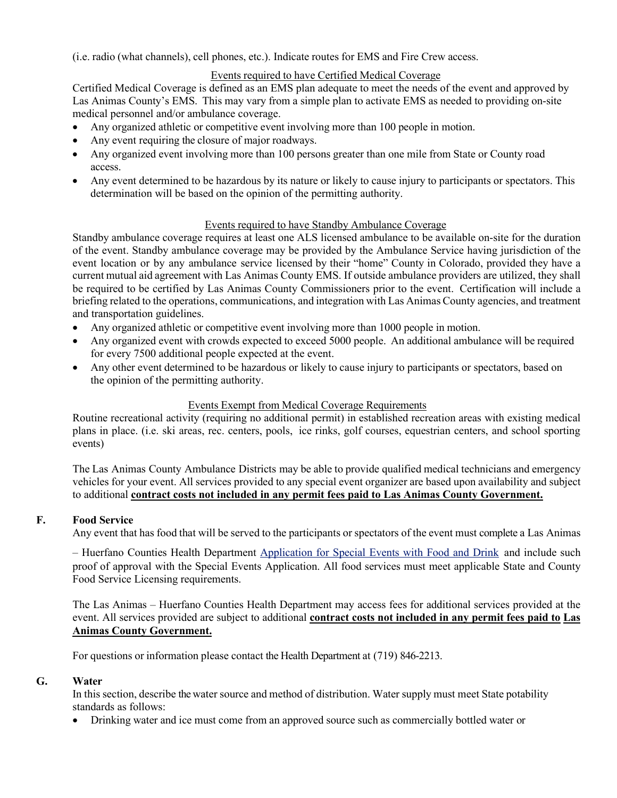(i.e. radio (what channels), cell phones, etc.). Indicate routes for EMS and Fire Crew access.

# Events required to have Certified Medical Coverage

Certified Medical Coverage is defined as an EMS plan adequate to meet the needs of the event and approved by Las Animas County's EMS. This may vary from a simple plan to activate EMS as needed to providing on-site medical personnel and/or ambulance coverage.

- Any organized athletic or competitive event involving more than 100 people in motion.
- Any event requiring the closure of major roadways.
- Any organized event involving more than 100 persons greater than one mile from State or County road access.
- Any event determined to be hazardous by its nature or likely to cause injury to participants or spectators. This determination will be based on the opinion of the permitting authority.

#### Events required to have Standby Ambulance Coverage

Standby ambulance coverage requires at least one ALS licensed ambulance to be available on-site for the duration of the event. Standby ambulance coverage may be provided by the Ambulance Service having jurisdiction of the event location or by any ambulance service licensed by their "home" County in Colorado, provided they have a current mutual aid agreement with Las Animas County EMS. If outside ambulance providers are utilized, they shall be required to be certified by Las Animas County Commissioners prior to the event. Certification will include a briefing related to the operations, communications, and integration with Las Animas County agencies, and treatment and transportation guidelines.

- Any organized athletic or competitive event involving more than 1000 people in motion.
- Any organized event with crowds expected to exceed 5000 people. An additional ambulance will be required for every 7500 additional people expected at the event.
- Any other event determined to be hazardous or likely to cause injury to participants or spectators, based on the opinion of the permitting authority.

# Events Exempt from Medical Coverage Requirements

Routine recreational activity (requiring no additional permit) in established recreation areas with existing medical plans in place. (i.e. ski areas, rec. centers, pools, ice rinks, golf courses, equestrian centers, and school sporting events)

The Las Animas County Ambulance Districts may be able to provide qualified medical technicians and emergency vehicles for your event. All services provided to any special event organizer are based upon availability and subject to additional **contract costs not included in any permit fees paid to Las Animas County Government.**

#### **F. Food Service**

Any event that has food that will be served to the participants or spectators of the event must complete a Las Animas

– Huerfano Counties Health Department [Application for Special Events with Food and Drink](https://la-h-health.colorado.gov/sites/la-h-health/files/documents/LAHCDHD-Temporary-Event-Vendor-Application.pdf) and include such proof of approval with the Special Events Application. All food services must meet applicable State and County Food Service Licensing requirements.

The Las Animas – Huerfano Counties Health Department may access fees for additional services provided at the event. All services provided are subject to additional **contract costs not included in any permit fees paid to Las Animas County Government.**

For questions or information please contact the Health Department at (719) 846-2213.

#### **G. Water**

In this section, describe the water source and method of distribution. Water supply must meet State potability standards as follows:

• Drinking water and ice must come from an approved source such as commercially bottled water or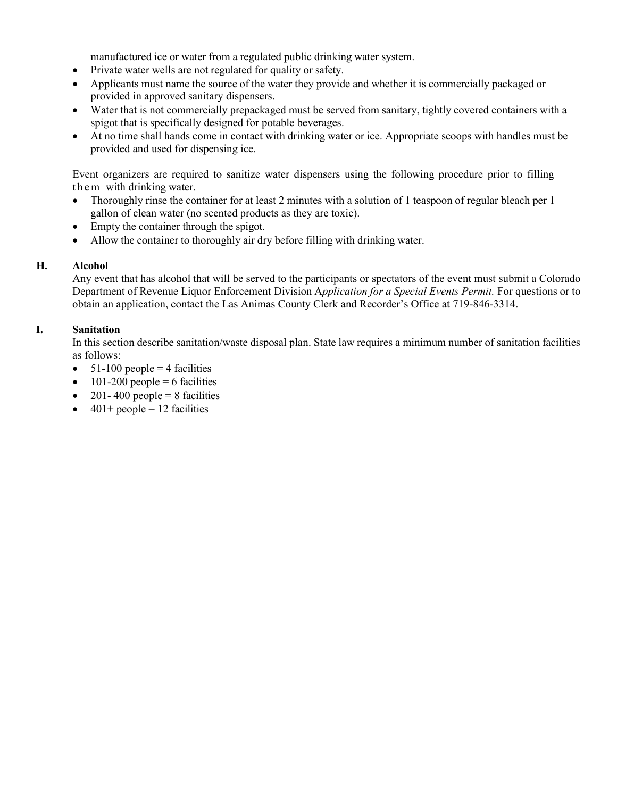manufactured ice or water from a regulated public drinking water system.

- Private water wells are not regulated for quality or safety.
- Applicants must name the source of the water they provide and whether it is commercially packaged or provided in approved sanitary dispensers.
- Water that is not commercially prepackaged must be served from sanitary, tightly covered containers with a spigot that is specifically designed for potable beverages.
- At no time shall hands come in contact with drinking water or ice. Appropriate scoops with handles must be provided and used for dispensing ice.

Event organizers are required to sanitize water dispensers using the following procedure prior to filling them with drinking water.

- Thoroughly rinse the container for at least 2 minutes with a solution of 1 teaspoon of regular bleach per 1 gallon of clean water (no scented products as they are toxic).
- Empty the container through the spigot.
- Allow the container to thoroughly air dry before filling with drinking water.

# **H. Alcohol**

Any event that has alcohol that will be served to the participants or spectators of the event must submit a Colorado Department of Revenue Liquor Enforcement Division A*pplication for a Special Events Permit.* For questions or to obtain an application, contact the Las Animas County Clerk and Recorder's Office at 719-846-3314.

# **I. Sanitation**

In this section describe sanitation/waste disposal plan. State law requires a minimum number of sanitation facilities as follows:

- $51-100$  people = 4 facilities
- 101-200 people  $= 6$  facilities
- 201-400 people = 8 facilities
- $401+$  people = 12 facilities